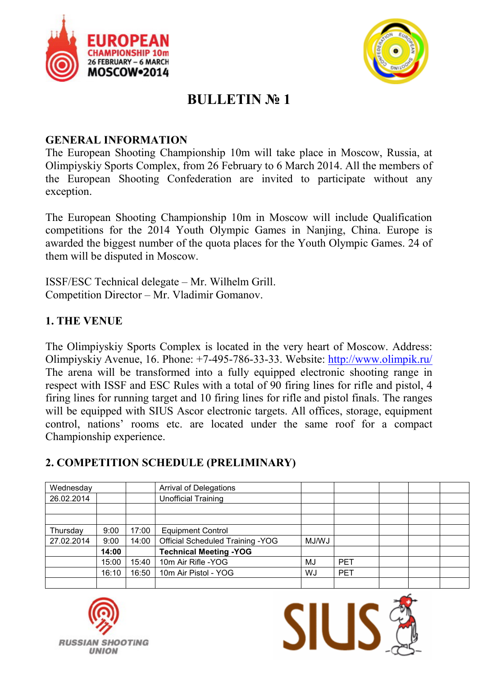



# **BULLETIN № 1**

#### **GENERAL INFORMATION**

The European Shooting Championship 10m will take place in Moscow, Russia, at Olimpiyskiy Sports Complex, from 26 February to 6 March 2014. All the members of the European Shooting Confederation are invited to participate without any exception.

The European Shooting Championship 10m in Moscow will include Qualification competitions for the 2014 Youth Olympic Games in Nanjing, China. Europe is awarded the biggest number of the quota places for the Youth Olympic Games. 24 of them will be disputed in Moscow.

ISSF/ESC Technical delegate – Mr. Wilhelm Grill. Competition Director – Mr. Vladimir Gomanov.

#### **1. THE VENUE**

The Olimpiyskiy Sports Complex is located in the very heart of Moscow. Address: Olimpiyskiy Avenue, 16. Phone: +7-495-786-33-33. Website: http://www.olimpik.ru/ The arena will be transformed into a fully equipped electronic shooting range in respect with ISSF and ESC Rules with a total of 90 firing lines for rifle and pistol, 4 firing lines for running target and 10 firing lines for rifle and pistol finals. The ranges will be equipped with SIUS Ascor electronic targets. All offices, storage, equipment control, nations' rooms etc. are located under the same roof for a compact Championship experience.

### **2. COMPETITION SCHEDULE (PRELIMINARY)**

| Wednesday  |       |       | <b>Arrival of Delegations</b>            |       |            |  |  |
|------------|-------|-------|------------------------------------------|-------|------------|--|--|
| 26.02.2014 |       |       | <b>Unofficial Training</b>               |       |            |  |  |
|            |       |       |                                          |       |            |  |  |
|            |       |       |                                          |       |            |  |  |
| Thursday   | 9:00  | 17:00 | <b>Equipment Control</b>                 |       |            |  |  |
| 27.02.2014 | 9:00  | 14:00 | <b>Official Scheduled Training - YOG</b> | MJ/WJ |            |  |  |
|            | 14:00 |       | <b>Technical Meeting -YOG</b>            |       |            |  |  |
|            | 15:00 | 15:40 | 10m Air Rifle - YOG                      | MJ    | <b>PET</b> |  |  |
|            | 16:10 | 16:50 | 10m Air Pistol - YOG                     | WJ    | <b>PET</b> |  |  |
|            |       |       |                                          |       |            |  |  |



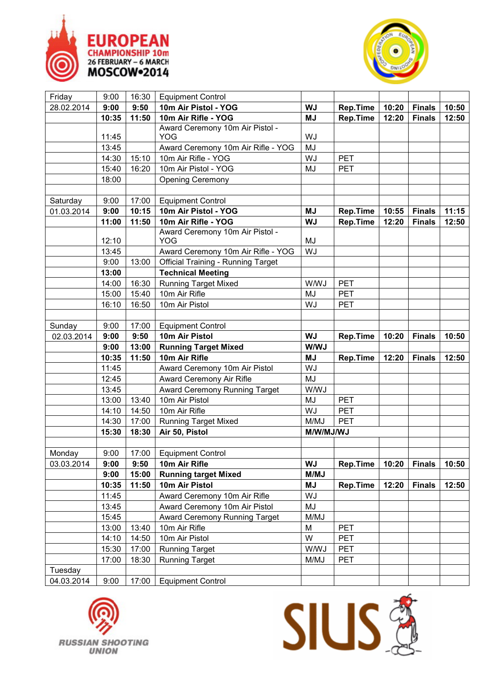



| Friday     | 9:00  | 16:30 | <b>Equipment Control</b>                  |                                       |                 |               |               |       |
|------------|-------|-------|-------------------------------------------|---------------------------------------|-----------------|---------------|---------------|-------|
| 28.02.2014 | 9:00  | 9:50  | 10m Air Pistol - YOG                      | <b>WJ</b><br><b>Rep.Time</b><br>10:20 |                 | <b>Finals</b> | 10:50         |       |
|            | 10:35 | 11:50 | 10m Air Rifle - YOG                       | <b>MJ</b>                             | <b>Rep.Time</b> | 12:20         | <b>Finals</b> | 12:50 |
|            |       |       | Award Ceremony 10m Air Pistol -           |                                       |                 |               |               |       |
|            | 11:45 |       | <b>YOG</b>                                | WJ                                    |                 |               |               |       |
|            | 13:45 |       | Award Ceremony 10m Air Rifle - YOG        | MJ                                    |                 |               |               |       |
|            | 14:30 | 15:10 | 10m Air Rifle - YOG                       | WJ                                    | PET             |               |               |       |
|            | 15:40 | 16:20 | 10m Air Pistol - YOG                      | MJ                                    | <b>PET</b>      |               |               |       |
|            | 18:00 |       | <b>Opening Ceremony</b>                   |                                       |                 |               |               |       |
|            |       |       |                                           |                                       |                 |               |               |       |
| Saturday   | 9:00  | 17:00 | <b>Equipment Control</b>                  |                                       |                 |               |               |       |
| 01.03.2014 | 9:00  | 10:15 | 10m Air Pistol - YOG                      | <b>MJ</b><br><b>Rep.Time</b><br>10:55 |                 | <b>Finals</b> | 11:15         |       |
|            | 11:00 | 11:50 | 10m Air Rifle - YOG                       | <b>WJ</b>                             | <b>Rep.Time</b> | 12:20         | <b>Finals</b> | 12:50 |
|            |       |       | Award Ceremony 10m Air Pistol -           |                                       |                 |               |               |       |
|            | 12:10 |       | <b>YOG</b>                                | MJ                                    |                 |               |               |       |
|            | 13:45 |       | Award Ceremony 10m Air Rifle - YOG        | WJ                                    |                 |               |               |       |
|            | 9:00  | 13:00 | <b>Official Training - Running Target</b> |                                       |                 |               |               |       |
|            | 13:00 |       | <b>Technical Meeting</b>                  |                                       |                 |               |               |       |
|            | 14:00 | 16:30 | <b>Running Target Mixed</b>               | <b>W/WJ</b>                           | <b>PET</b>      |               |               |       |
|            | 15:00 | 15:40 | 10m Air Rifle                             | MJ                                    | <b>PET</b>      |               |               |       |
|            | 16:10 | 16:50 | 10m Air Pistol                            | WJ                                    | <b>PET</b>      |               |               |       |
|            |       |       |                                           |                                       |                 |               |               |       |
| Sunday     | 9:00  | 17:00 | <b>Equipment Control</b>                  |                                       |                 |               |               |       |
| 02.03.2014 | 9:00  | 9:50  | 10m Air Pistol                            | <b>WJ</b>                             | <b>Rep.Time</b> | 10:20         | <b>Finals</b> | 10:50 |
|            | 9:00  | 13:00 | <b>Running Target Mixed</b>               | W/WJ                                  |                 |               |               |       |
|            | 10:35 | 11:50 | 10m Air Rifle                             | <b>MJ</b>                             | <b>Rep.Time</b> | 12:20         | <b>Finals</b> | 12:50 |
|            | 11:45 |       | Award Ceremony 10m Air Pistol             | WJ                                    |                 |               |               |       |
|            | 12:45 |       | Award Ceremony Air Rifle                  | MJ                                    |                 |               |               |       |
|            | 13:45 |       | Award Ceremony Running Target             | <b>W/WJ</b>                           |                 |               |               |       |
|            | 13:00 | 13:40 | 10m Air Pistol                            | MJ                                    | <b>PET</b>      |               |               |       |
|            | 14:10 | 14:50 | 10m Air Rifle                             | WJ                                    | PET             |               |               |       |
|            | 14:30 |       |                                           |                                       |                 |               |               |       |
|            |       | 17:00 | <b>Running Target Mixed</b>               | M/MJ                                  | <b>PET</b>      |               |               |       |
|            | 15:30 | 18:30 | Air 50, Pistol                            | M/W/MJ/WJ                             |                 |               |               |       |
|            |       |       |                                           |                                       |                 |               |               |       |
| Monday     | 9:00  | 17:00 | <b>Equipment Control</b>                  |                                       |                 |               |               |       |
| 03.03.2014 | 9:00  | 9:50  | 10m Air Rifle                             | WJ                                    | <b>Rep.Time</b> | 10:20         | <b>Finals</b> | 10:50 |
|            | 9:00  | 15:00 | <b>Running target Mixed</b>               | M/MJ                                  |                 |               |               |       |
|            | 10:35 | 11:50 | 10m Air Pistol                            | <b>MJ</b>                             | <b>Rep.Time</b> | 12:20         | <b>Finals</b> | 12:50 |
|            | 11:45 |       | Award Ceremony 10m Air Rifle              | WJ                                    |                 |               |               |       |
|            | 13:45 |       | Award Ceremony 10m Air Pistol             | MJ                                    |                 |               |               |       |
|            | 15:45 |       | Award Ceremony Running Target             | M/MJ                                  |                 |               |               |       |
|            | 13:00 | 13:40 | 10m Air Rifle                             | M                                     | <b>PET</b>      |               |               |       |
|            | 14:10 | 14:50 | 10m Air Pistol                            | W                                     | <b>PET</b>      |               |               |       |
|            | 15:30 | 17:00 | <b>Running Target</b>                     | <b>W/WJ</b>                           | <b>PET</b>      |               |               |       |
|            | 17:00 | 18:30 | <b>Running Target</b>                     | M/MJ                                  | <b>PET</b>      |               |               |       |
| Tuesday    |       |       |                                           |                                       |                 |               |               |       |



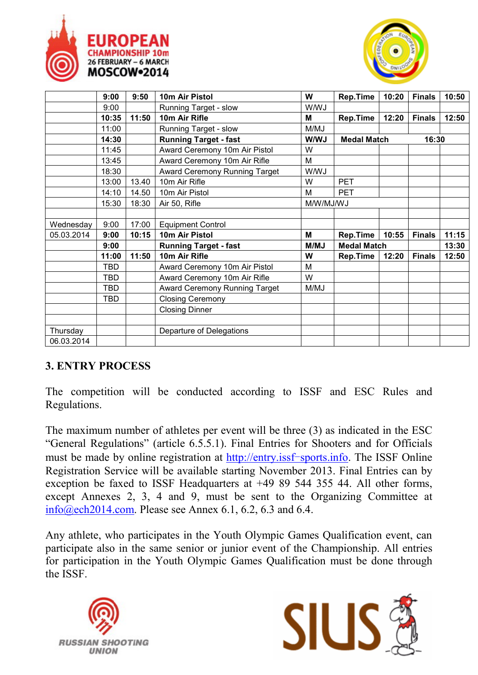



|            | 9:00       | 9:50  | 10m Air Pistol                       | W           | Rep.Time           | 10:20 | <b>Finals</b> | 10:50 |
|------------|------------|-------|--------------------------------------|-------------|--------------------|-------|---------------|-------|
|            | 9:00       |       | Running Target - slow                | <b>W/WJ</b> |                    |       |               |       |
|            | 10:35      | 11:50 | 10m Air Rifle                        | M           | Rep.Time           | 12:20 | <b>Finals</b> | 12:50 |
|            | 11:00      |       | Running Target - slow                | M/MJ        |                    |       |               |       |
|            | 14:30      |       | <b>Running Target - fast</b>         | W/WJ        | <b>Medal Match</b> |       | 16:30         |       |
|            | 11:45      |       | Award Ceremony 10m Air Pistol        | W           |                    |       |               |       |
|            | 13:45      |       | Award Ceremony 10m Air Rifle         | M           |                    |       |               |       |
|            | 18:30      |       | <b>Award Ceremony Running Target</b> | W/WJ        |                    |       |               |       |
|            | 13:00      | 13.40 | 10m Air Rifle                        | W           | <b>PET</b>         |       |               |       |
|            | 14:10      | 14.50 | 10m Air Pistol                       | M           | <b>PET</b>         |       |               |       |
|            | 15:30      | 18:30 | Air 50, Rifle                        | M/W/MJ/WJ   |                    |       |               |       |
|            |            |       |                                      |             |                    |       |               |       |
| Wednesday  | 9:00       | 17:00 | <b>Equipment Control</b>             |             |                    |       |               |       |
| 05.03.2014 | 9:00       | 10:15 | 10m Air Pistol                       | M           | <b>Rep.Time</b>    | 10:55 | <b>Finals</b> | 11:15 |
|            | 9:00       |       | <b>Running Target - fast</b>         | M/MJ        | <b>Medal Match</b> |       |               | 13:30 |
|            | 11:00      | 11:50 | 10m Air Rifle                        | W           | Rep.Time           | 12:20 | <b>Finals</b> | 12:50 |
|            | TBD        |       | Award Ceremony 10m Air Pistol        | M           |                    |       |               |       |
|            | <b>TBD</b> |       | Award Ceremony 10m Air Rifle         | W           |                    |       |               |       |
|            | <b>TBD</b> |       | Award Ceremony Running Target        | M/MJ        |                    |       |               |       |
|            | TBD        |       | <b>Closing Ceremony</b>              |             |                    |       |               |       |
|            |            |       | <b>Closing Dinner</b>                |             |                    |       |               |       |
|            |            |       |                                      |             |                    |       |               |       |
| Thursday   |            |       | Departure of Delegations             |             |                    |       |               |       |
| 06.03.2014 |            |       |                                      |             |                    |       |               |       |

### **3. ENTRY PROCESS**

The competition will be conducted according to ISSF and ESC Rules and Regulations.

The maximum number of athletes per event will be three (3) as indicated in the ESC "General Regulations" (article 6.5.5.1). Final Entries for Shooters and for Officials must be made by online registration at http://entry.issf-sports.info. The ISSF Online Registration Service will be available starting November 2013. Final Entries can by exception be faxed to ISSF Headquarters at +49 89 544 355 44. All other forms, except Annexes 2, 3, 4 and 9, must be sent to the Organizing Committee at info@ech2014.com. Please see Annex 6.1, 6.2, 6.3 and 6.4.

Any athlete, who participates in the Youth Olympic Games Qualification event, can participate also in the same senior or junior event of the Championship. All entries for participation in the Youth Olympic Games Qualification must be done through the ISSF.



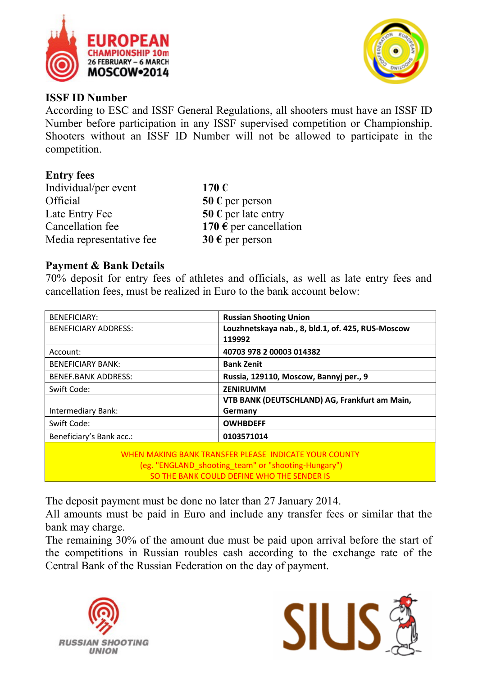



#### **ISSF ID Number**

According to ESC and ISSF General Regulations, all shooters must have an ISSF ID Number before participation in any ISSF supervised competition or Championship. Shooters without an ISSF ID Number will not be allowed to participate in the competition.

#### **Entry fees**

| Individual/per event     | 170 $\epsilon$           |
|--------------------------|--------------------------|
| Official                 | 50 $\epsilon$ per person |
| Late Entry Fee           | 50 € per late entry      |
| Cancellation fee         | 170 € per cancellation   |
| Media representative fee | 30 $\epsilon$ per person |

#### **Payment & Bank Details**

70% deposit for entry fees of athletes and officials, as well as late entry fees and cancellation fees, must be realized in Euro to the bank account below:

| <b>BENEFICIARY:</b>                                                                                                                                        | <b>Russian Shooting Union</b>                     |  |  |  |
|------------------------------------------------------------------------------------------------------------------------------------------------------------|---------------------------------------------------|--|--|--|
| <b>BENEFICIARY ADDRESS:</b>                                                                                                                                | Louzhnetskaya nab., 8, bld.1, of. 425, RUS-Moscow |  |  |  |
|                                                                                                                                                            | 119992                                            |  |  |  |
| Account:                                                                                                                                                   | 40703 978 2 00003 014382                          |  |  |  |
| <b>BENEFICIARY BANK:</b>                                                                                                                                   | <b>Bank Zenit</b>                                 |  |  |  |
| <b>BENEF.BANK ADDRESS:</b>                                                                                                                                 | Russia, 129110, Moscow, Bannyj per., 9            |  |  |  |
| Swift Code:                                                                                                                                                | <b>ZENIRUMM</b>                                   |  |  |  |
|                                                                                                                                                            | VTB BANK (DEUTSCHLAND) AG, Frankfurt am Main,     |  |  |  |
| Intermediary Bank:                                                                                                                                         | Germany                                           |  |  |  |
| Swift Code:                                                                                                                                                | <b>OWHBDEFF</b>                                   |  |  |  |
| Beneficiary's Bank acc.:                                                                                                                                   | 0103571014                                        |  |  |  |
| WHEN MAKING BANK TRANSFER PLEASE INDICATE YOUR COUNTY<br>(eg. "ENGLAND shooting team" or "shooting-Hungary")<br>SO THE BANK COULD DEFINE WHO THE SENDER IS |                                                   |  |  |  |

The deposit payment must be done no later than 27 January 2014.

All amounts must be paid in Euro and include any transfer fees or similar that the bank may charge.

The remaining 30% of the amount due must be paid upon arrival before the start of the competitions in Russian roubles cash according to the exchange rate of the Central Bank of the Russian Federation on the day of payment.



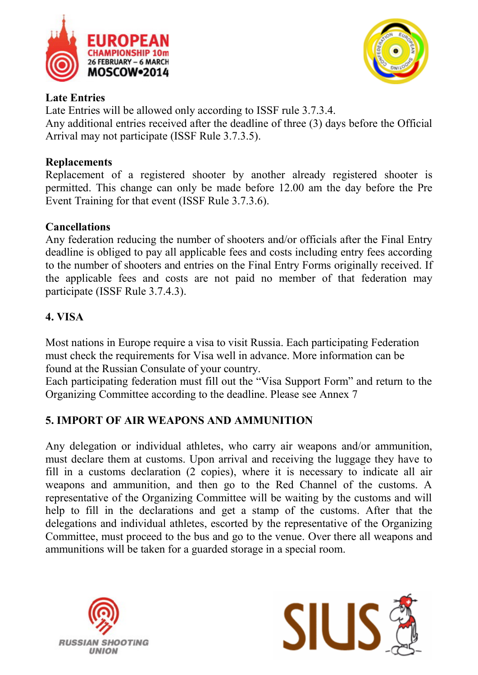



#### **Late Entries**

Late Entries will be allowed only according to ISSF rule 3.7.3.4. Any additional entries received after the deadline of three (3) days before the Official Arrival may not participate (ISSF Rule 3.7.3.5).

#### **Replacements**

Replacement of a registered shooter by another already registered shooter is permitted. This change can only be made before 12.00 am the day before the Pre Event Training for that event (ISSF Rule 3.7.3.6).

#### **Cancellations**

Any federation reducing the number of shooters and/or officials after the Final Entry deadline is obliged to pay all applicable fees and costs including entry fees according to the number of shooters and entries on the Final Entry Forms originally received. If the applicable fees and costs are not paid no member of that federation may participate (ISSF Rule 3.7.4.3).

# **4. VISA**

Most nations in Europe require a visa to visit Russia. Each participating Federation must check the requirements for Visa well in advance. More information can be found at the Russian Consulate of your country.

Each participating federation must fill out the "Visa Support Form" and return to the Organizing Committee according to the deadline. Please see Annex 7

### **5. IMPORT OF AIR WEAPONS AND AMMUNITION**

Any delegation or individual athletes, who carry air weapons and/or ammunition, must declare them at customs. Upon arrival and receiving the luggage they have to fill in a customs declaration (2 copies), where it is necessary to indicate all air weapons and ammunition, and then go to the Red Channel of the customs. A representative of the Organizing Committee will be waiting by the customs and will help to fill in the declarations and get a stamp of the customs. After that the delegations and individual athletes, escorted by the representative of the Organizing Committee, must proceed to the bus and go to the venue. Over there all weapons and ammunitions will be taken for a guarded storage in a special room.



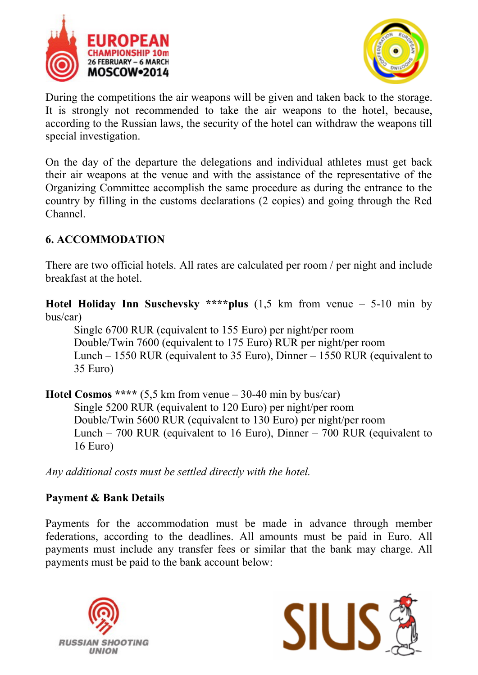



During the competitions the air weapons will be given and taken back to the storage. It is strongly not recommended to take the air weapons to the hotel, because, according to the Russian laws, the security of the hotel can withdraw the weapons till special investigation.

On the day of the departure the delegations and individual athletes must get back their air weapons at the venue and with the assistance of the representative of the Organizing Committee accomplish the same procedure as during the entrance to the country by filling in the customs declarations (2 copies) and going through the Red Channel.

### **6. ACCOMMODATION**

There are two official hotels. All rates are calculated per room / per night and include breakfast at the hotel.

**Hotel Holiday Inn Suschevsky \*\*\*\*plus** (1,5 km from venue – 5-10 min by bus/car)

Single 6700 RUR (equivalent to 155 Euro) per night/per room Double/Twin 7600 (equivalent to 175 Euro) RUR per night/per room Lunch – 1550 RUR (equivalent to 35 Euro), Dinner – 1550 RUR (equivalent to 35 Euro)

**Hotel Cosmos \*\*\*\*** (5,5 km from venue – 30-40 min by bus/car) Single 5200 RUR (equivalent to 120 Euro) per night/per room Double/Twin 5600 RUR (equivalent to 130 Euro) per night/per room Lunch – 700 RUR (equivalent to 16 Euro), Dinner – 700 RUR (equivalent to 16 Euro)

*Any additional costs must be settled directly with the hotel.*

### **Payment & Bank Details**

Payments for the accommodation must be made in advance through member federations, according to the deadlines. All amounts must be paid in Euro. All payments must include any transfer fees or similar that the bank may charge. All payments must be paid to the bank account below:



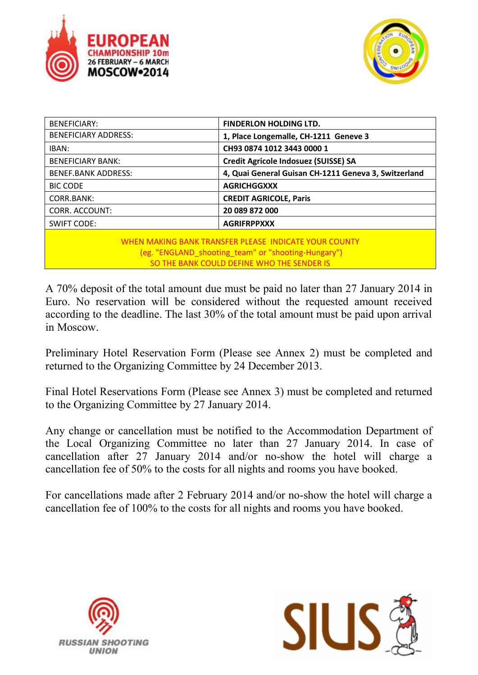



| <b>BENEFICIARY:</b>                                                                                                                                        | <b>FINDERLON HOLDING LTD.</b>                        |  |  |  |  |
|------------------------------------------------------------------------------------------------------------------------------------------------------------|------------------------------------------------------|--|--|--|--|
| <b>BENEFICIARY ADDRESS:</b>                                                                                                                                | 1, Place Longemalle, CH-1211 Geneve 3                |  |  |  |  |
| IBAN:                                                                                                                                                      | CH93 0874 1012 3443 0000 1                           |  |  |  |  |
| <b>BENEFICIARY BANK:</b>                                                                                                                                   | Credit Agricole Indosuez (SUISSE) SA                 |  |  |  |  |
| <b>BENEF.BANK ADDRESS:</b>                                                                                                                                 | 4, Quai General Guisan CH-1211 Geneva 3, Switzerland |  |  |  |  |
| <b>BIC CODE</b>                                                                                                                                            | <b>AGRICHGGXXX</b>                                   |  |  |  |  |
| CORR.BANK:                                                                                                                                                 | <b>CREDIT AGRICOLE, Paris</b>                        |  |  |  |  |
| <b>CORR. ACCOUNT:</b>                                                                                                                                      | 20 089 872 000                                       |  |  |  |  |
| <b>SWIFT CODE:</b>                                                                                                                                         | <b>AGRIFRPPXXX</b>                                   |  |  |  |  |
| WHEN MAKING BANK TRANSFER PLEASE INDICATE YOUR COUNTY<br>(eg. "ENGLAND_shooting_team" or "shooting-Hungary")<br>SO THE BANK COULD DEFINE WHO THE SENDER IS |                                                      |  |  |  |  |

A 70% deposit of the total amount due must be paid no later than 27 January 2014 in Euro. No reservation will be considered without the requested amount received according to the deadline. The last 30% of the total amount must be paid upon arrival in Moscow.

Preliminary Hotel Reservation Form (Please see Annex 2) must be completed and returned to the Organizing Committee by 24 December 2013.

Final Hotel Reservations Form (Please see Annex 3) must be completed and returned to the Organizing Committee by 27 January 2014.

Any change or cancellation must be notified to the Accommodation Department of the Local Organizing Committee no later than 27 January 2014. In case of cancellation after 27 January 2014 and/or no-show the hotel will charge a cancellation fee of 50% to the costs for all nights and rooms you have booked.

For cancellations made after 2 February 2014 and/or no-show the hotel will charge a cancellation fee of 100% to the costs for all nights and rooms you have booked.



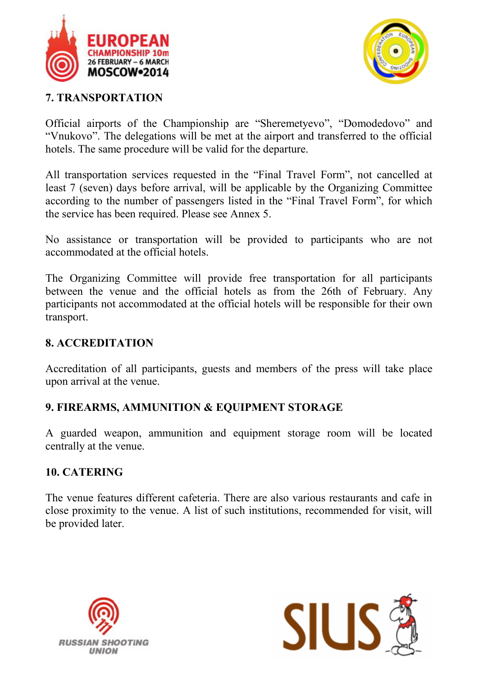



#### **7. TRANSPORTATION**

Official airports of the Championship are "Sheremetyevo", "Domodedovo" and "Vnukovo". The delegations will be met at the airport and transferred to the official hotels. The same procedure will be valid for the departure.

All transportation services requested in the "Final Travel Form", not cancelled at least 7 (seven) days before arrival, will be applicable by the Organizing Committee according to the number of passengers listed in the "Final Travel Form", for which the service has been required. Please see Annex 5.

No assistance or transportation will be provided to participants who are not accommodated at the official hotels.

The Organizing Committee will provide free transportation for all participants between the venue and the official hotels as from the 26th of February. Any participants not accommodated at the official hotels will be responsible for their own transport.

#### **8. ACCREDITATION**

Accreditation of all participants, guests and members of the press will take place upon arrival at the venue.

# **9. FIREARMS, AMMUNITION & EQUIPMENT STORAGE**

A guarded weapon, ammunition and equipment storage room will be located centrally at the venue.

#### **10. CATERING**

The venue features different cafeteria. There are also various restaurants and cafe in close proximity to the venue. A list of such institutions, recommended for visit, will be provided later.



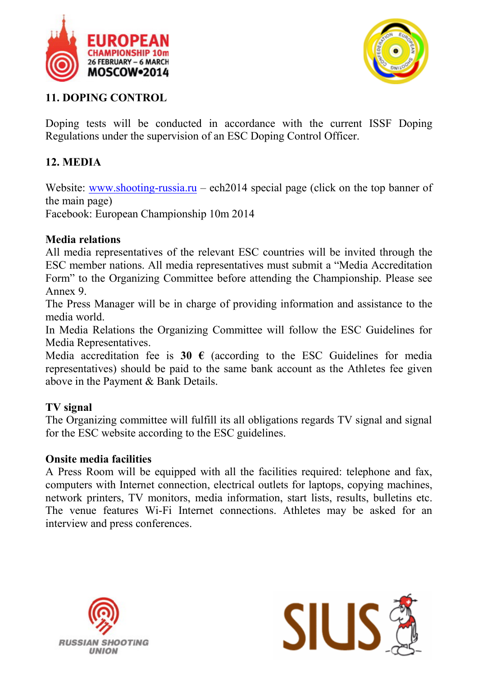



#### **11. DOPING CONTROL**

Doping tests will be conducted in accordance with the current ISSF Doping Regulations under the supervision of an ESC Doping Control Officer.

### **12. MEDIA**

Website: www.shooting-russia.ru – ech2014 special page (click on the top banner of the main page)

Facebook: European Championship 10m 2014

#### **Media relations**

All media representatives of the relevant ESC countries will be invited through the ESC member nations. All media representatives must submit a "Media Accreditation Form" to the Organizing Committee before attending the Championship. Please see Annex 9.

The Press Manager will be in charge of providing information and assistance to the media world.

In Media Relations the Organizing Committee will follow the ESC Guidelines for Media Representatives.

Media accreditation fee is **30**  $\epsilon$  (according to the ESC Guidelines for media representatives) should be paid to the same bank account as the Athletes fee given above in the Payment & Bank Details.

#### **TV signal**

The Organizing committee will fulfill its all obligations regards TV signal and signal for the ESC website according to the ESC guidelines.

#### **Onsite media facilities**

A Press Room will be equipped with all the facilities required: telephone and fax, computers with Internet connection, electrical outlets for laptops, copying machines, network printers, TV monitors, media information, start lists, results, bulletins etc. The venue features Wi-Fi Internet connections. Athletes may be asked for an interview and press conferences.



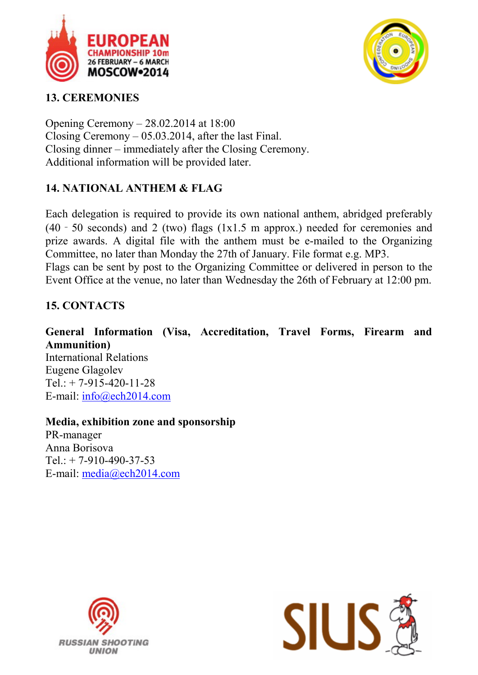



### **13. CEREMONIES**

Opening Ceremony – 28.02.2014 at 18:00 Closing Ceremony – 05.03.2014, after the last Final. Closing dinner – immediately after the Closing Ceremony. Additional information will be provided later.

### **14. NATIONAL ANTHEM & FLAG**

Each delegation is required to provide its own national anthem, abridged preferably (40 - 50 seconds) and 2 (two) flags (1x1.5 m approx.) needed for ceremonies and prize awards. A digital file with the anthem must be e-mailed to the Organizing Committee, no later than Monday the 27th of January. File format e.g. MP3. Flags can be sent by post to the Organizing Committee or delivered in person to the Event Office at the venue, no later than Wednesday the 26th of February at 12:00 pm.

# **15. CONTACTS**

**General Information (Visa, Accreditation, Travel Forms, Firearm and Ammunition)** International Relations Eugene Glagolev Tel.:  $+ 7-915-420-11-28$ E-mail: info@ech2014.com

**Media, exhibition zone and sponsorship** PR-manager Anna Borisova  $Tel: + 7-910-490-37-53$ E-mail: media@ech2014.com